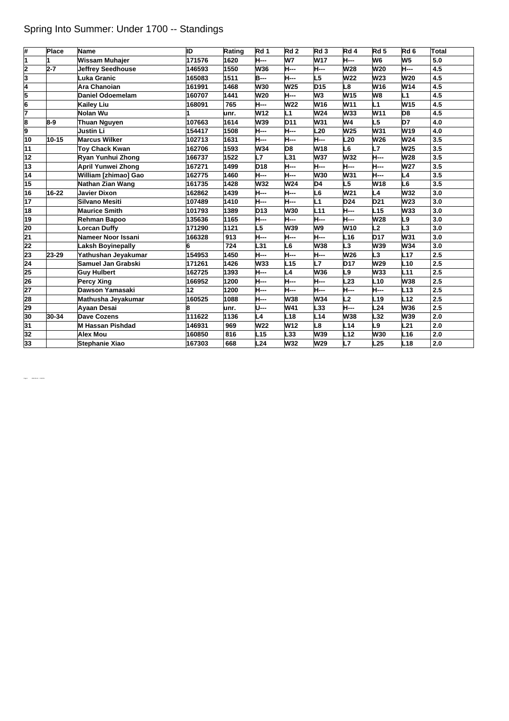## Spring Into Summer: Under 1700 -- Standings

| #               | Place   | Name                     | ID     | Rating | Rd 1            | Rd <sub>2</sub> | Rd <sub>3</sub> | Rd 4            | Rd <sub>5</sub> | Rd 6            | <b>Total</b> |
|-----------------|---------|--------------------------|--------|--------|-----------------|-----------------|-----------------|-----------------|-----------------|-----------------|--------------|
| 1               | 1       | <b>Wissam Muhajer</b>    | 171576 | 1620   | H---            | W7              | W17             | <b>H</b> ---    | W6              | W <sub>5</sub>  | 5.0          |
| 2               | $2 - 7$ | <b>Jeffrey Seedhouse</b> | 146593 | 1550   | <b>W36</b>      | <b>H---</b>     | <b>H</b> ---    | W28             | W20             | <b>H</b> ---    | 4.5          |
| 3               |         | Luka Granic              | 165083 | 1511   | <b>B</b> ---    | <b>H---</b>     | L5              | <b>W22</b>      | W23             | W20             | 4.5          |
| 4               |         | Ara Chanoian             | 161991 | 1468   | <b>W30</b>      | W25             | D <sub>15</sub> | L8              | W16             | W14             | 4.5          |
| 5               |         | <b>Daniel Odoemelam</b>  | 160707 | 1441   | W20             | H---            | W <sub>3</sub>  | W <sub>15</sub> | W8              | L1              | 4.5          |
| $\frac{6}{7}$   |         | <b>Kailey Liu</b>        | 168091 | 765    | H---            | W22             | W <sub>16</sub> | W11             | L1              | W15             | 4.5          |
|                 |         | Nolan Wu                 |        | unr.   | W <sub>12</sub> | L1              | W24             | <b>W33</b>      | W11             | D8              | 4.5          |
| 8               | 8-9     | <b>Thuan Nguyen</b>      | 107663 | 1614   | <b>W39</b>      | D11             | W31             | W4              | L5              | D7              | 4.0          |
| 9               |         | <b>Justin Li</b>         | 154417 | 1508   | H---            | <b>H---</b>     | L <sub>20</sub> | W <sub>25</sub> | W31             | W19             | 4.0          |
| 10              | 10-15   | <b>Marcus Wilker</b>     | 102713 | 1631   | H---            | H---            | <b>H---</b>     | L20             | W26             | W24             | 3.5          |
| 11              |         | <b>Toy Chack Kwan</b>    | 162706 | 1593   | W34             | D8              | W <sub>18</sub> | L6              | L7              | W <sub>25</sub> | 3.5          |
| 12              |         | Ryan Yunhui Zhong        | 166737 | 1522   | L7              | L31             | <b>W37</b>      | <b>W32</b>      | H---            | W28             | 3.5          |
| 13              |         | April Yunwei Zhong       | 167271 | 1499   | <b>D18</b>      | <b>H---</b>     | <b>H---</b>     | H---            | H---            | <b>W27</b>      | 3.5          |
| 14              |         | William [zhimao] Gao     | 162775 | 1460   | H---            | <b>H</b> ---    | <b>W30</b>      | W31             | H---            | L4              | 3.5          |
| 15              |         | Nathan Zian Wang         | 161735 | 1428   | <b>W32</b>      | W24             | D <sub>4</sub>  | L5              | W18             | L6              | 3.5          |
| 16              | 16-22   | <b>Javier Dixon</b>      | 162862 | 1439   | <b>H---</b>     | <b>H</b> ---    | L <sub>6</sub>  | W21             | L4              | W32             | 3.0          |
| 17              |         | <b>Silvano Mesiti</b>    | 107489 | 1410   | <b>H</b> ---    | <b>H---</b>     | L1              | <b>D24</b>      | D21             | W <sub>23</sub> | 3.0          |
| 18              |         | <b>Maurice Smith</b>     | 101793 | 1389   | <b>D13</b>      | <b>W30</b>      | L11             | <b>H---</b>     | L15             | <b>W33</b>      | 3.0          |
| 19              |         | Rehman Bapoo             | 135636 | 1165   | H---            | <b>H</b> ---    | H---            | <b>H</b> ---    | W28             | L9              | 3.0          |
| 20              |         | <b>Lorcan Duffy</b>      | 171290 | 1121   | L5              | W39             | W9              | W <sub>10</sub> | L2              | $\overline{L3}$ | 3.0          |
| $\overline{21}$ |         | Nameer Noor Issani       | 166328 | 913    | <b>H</b> ---    | <b>H</b> ---    | <b>H---</b>     | L <sub>16</sub> | <b>D17</b>      | <b>W31</b>      | 3.0          |
| 22              |         | <b>Laksh Boyinepally</b> | 6      | 724    | L31             | L6              | <b>W38</b>      | L3              | <b>W39</b>      | W34             | 3.0          |
| 23              | 23-29   | Yathushan Jeyakumar      | 154953 | 1450   | H---            | H---            | <b>H</b> ---    | W26             | L3              | L17             | 2.5          |
| $\overline{24}$ |         | Samuel Jan Grabski       | 171261 | 1426   | W33             | L15             | L7              | <b>D17</b>      | W29             | L10             | 2.5          |
| 25              |         | <b>Guy Hulbert</b>       | 162725 | 1393   | H---            | L4              | W36             | L9              | <b>W33</b>      | L11             | 2.5          |
| $\overline{26}$ |         | <b>Percy Xing</b>        | 166952 | 1200   | H---            | H---            | <b>H---</b>     | L <sub>23</sub> | L10             | W38             | 2.5          |
| $\overline{27}$ |         | Dawson Yamasaki          | 12     | 1200   | <b>H---</b>     | <b>H---</b>     | H---            | <b>H</b> ---    | H---            | L13             | 2.5          |
| 28              |         | Mathusha Jeyakumar       | 160525 | 1088   | H---            | W38             | <b>W34</b>      | L2              | L19             | L12             | 2.5          |
| 29              |         | Ayaan Desai              | 8      | unr.   | U---            | W41             | L33             | H---            | L24             | <b>W36</b>      | 2.5          |
| 30              | 30-34   | Dave Cozens              | 111622 | 1136   | L4              | L <sub>18</sub> | L14             | <b>W38</b>      | L32             | W39             | 2.0          |
| $\overline{31}$ |         | <b>M Hassan Pishdad</b>  | 146931 | 969    | W22             | W12             | L8              | L14             | L9              | L21             | 2.0          |
| 32              |         | <b>Alex Mou</b>          | 160850 | 816    | L <sub>15</sub> | L33             | W39             | L12             | <b>W30</b>      | L16             | 2.0          |
| 33              |         | Stephanie Xiao           | 167303 | 668    | L24             | W32             | W29             | L7              | L25             | L <sub>18</sub> | 2.0          |

Page 1 2022-05-13 2:26 PM